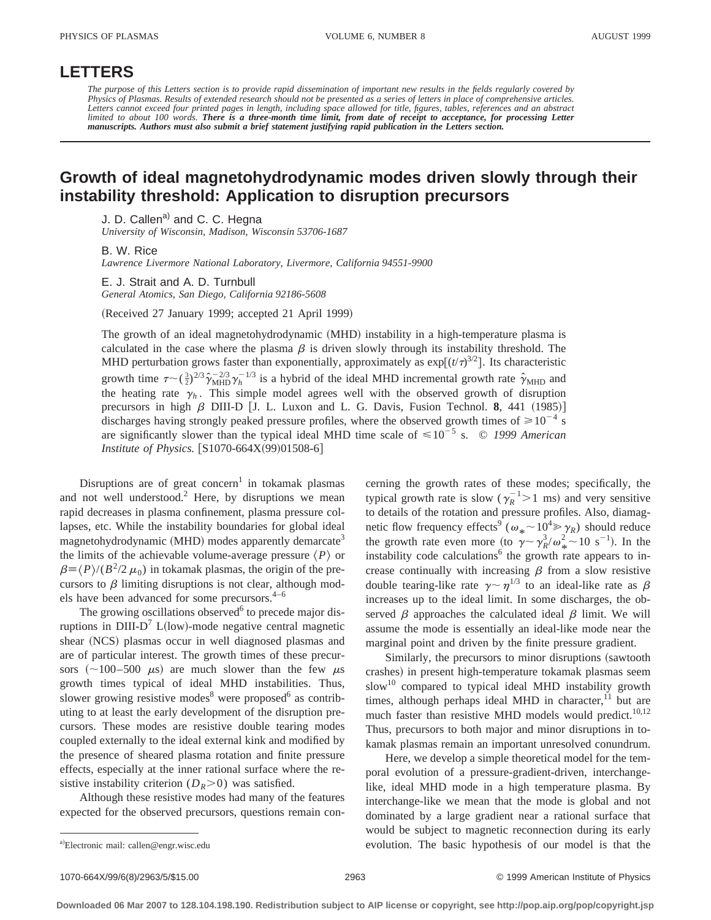## **LETTERS**

*The purpose of this Letters section is to provide rapid dissemination of important new results in the fields regularly covered by Physics of Plasmas. Results of extended research should not be presented as a series of letters in place of comprehensive articles.* Letters cannot exceed four printed pages in length, including space allowed for title, figures, tables, references and an abstract<br>limited to about 100 words. **There is a three-month time limit, from date of receipt to acc** *manuscripts. Authors must also submit a brief statement justifying rapid publication in the Letters section.*

## **Growth of ideal magnetohydrodynamic modes driven slowly through their instability threshold: Application to disruption precursors**

J. D. Callen<sup>a)</sup> and C. C. Hegna *University of Wisconsin, Madison, Wisconsin 53706-1687*

B. W. Rice

*Lawrence Livermore National Laboratory, Livermore, California 94551-9900*

E. J. Strait and A. D. Turnbull *General Atomics, San Diego, California 92186-5608*

(Received 27 January 1999; accepted 21 April 1999)

The growth of an ideal magnetohydrodynamic (MHD) instability in a high-temperature plasma is calculated in the case where the plasma  $\beta$  is driven slowly through its instability threshold. The MHD perturbation grows faster than exponentially, approximately as  $\exp[(t/\tau)^{3/2}]$ . Its characteristic growth time  $\tau \sim (\frac{3}{2})^{2/3} \hat{\gamma}_{\text{MHD}}^{-2/3} \gamma_h^{-1/3}$  is a hybrid of the ideal MHD incremental growth rate  $\hat{\gamma}_{\text{MHD}}$  and the heating rate  $\gamma_h$ . This simple model agrees well with the observed growth of disruption precursors in high  $\beta$  DIII-D  $[J, L.$  Luxon and L. G. Davis, Fusion Technol. **8**, 441  $(1985)$ discharges having strongly peaked pressure profiles, where the observed growth times of  $\geq 10^{-4}$  s are significantly slower than the typical ideal MHD time scale of  $\leq 10^{-5}$  s. © 1999 American *Institute of Physics.* [S1070-664X(99)01508-6]

Disruptions are of great concern<sup>1</sup> in tokamak plasmas and not well understood. $2$  Here, by disruptions we mean rapid decreases in plasma confinement, plasma pressure collapses, etc. While the instability boundaries for global ideal magnetohydrodynamic  $(MHD)$  modes apparently demarcate<sup>3</sup> the limits of the achievable volume-average pressure  $\langle P \rangle$  or  $\beta \equiv \langle P \rangle / (B^2/2 \mu_0)$  in tokamak plasmas, the origin of the precursors to  $\beta$  limiting disruptions is not clear, although models have been advanced for some precursors.<sup>4–6</sup>

The growing oscillations observed $6$  to precede major disruptions in  $DIII-D<sup>7</sup> L(low)-mode$  negative central magnetic shear (NCS) plasmas occur in well diagnosed plasmas and are of particular interest. The growth times of these precursors  $(\sim 100-500 \mu s)$  are much slower than the few  $\mu s$ growth times typical of ideal MHD instabilities. Thus, slower growing resistive modes<sup>8</sup> were proposed<sup>6</sup> as contributing to at least the early development of the disruption precursors. These modes are resistive double tearing modes coupled externally to the ideal external kink and modified by the presence of sheared plasma rotation and finite pressure effects, especially at the inner rational surface where the resistive instability criterion  $(D_R>0)$  was satisfied.

Although these resistive modes had many of the features expected for the observed precursors, questions remain con-

cerning the growth rates of these modes; specifically, the typical growth rate is slow ( $\gamma_R^{-1} > 1$  ms) and very sensitive to details of the rotation and pressure profiles. Also, diamagnetic flow frequency effects<sup>9</sup> ( $\omega_* \sim 10^4 \gg \gamma_R$ ) should reduce the growth rate even more (to  $\gamma \sim \gamma_R^3/\omega_*^2 \sim 10 \text{ s}^{-1}$ ). In the instability code calculations<sup>6</sup> the growth rate appears to increase continually with increasing  $\beta$  from a slow resistive double tearing-like rate  $\gamma \sim \eta^{1/3}$  to an ideal-like rate as  $\beta$ increases up to the ideal limit. In some discharges, the observed  $\beta$  approaches the calculated ideal  $\beta$  limit. We will assume the mode is essentially an ideal-like mode near the marginal point and driven by the finite pressure gradient.

Similarly, the precursors to minor disruptions (sawtooth crashes) in present high-temperature tokamak plasmas seem slow<sup>10</sup> compared to typical ideal MHD instability growth times, although perhaps ideal MHD in character, $^{11}$  but are much faster than resistive MHD models would predict.<sup>10,12</sup> Thus, precursors to both major and minor disruptions in tokamak plasmas remain an important unresolved conundrum.

Here, we develop a simple theoretical model for the temporal evolution of a pressure-gradient-driven, interchangelike, ideal MHD mode in a high temperature plasma. By interchange-like we mean that the mode is global and not dominated by a large gradient near a rational surface that would be subject to magnetic reconnection during its early evolution. The basic hypothesis of our model is that the

Electronic mail: callen@engr.wisc.edu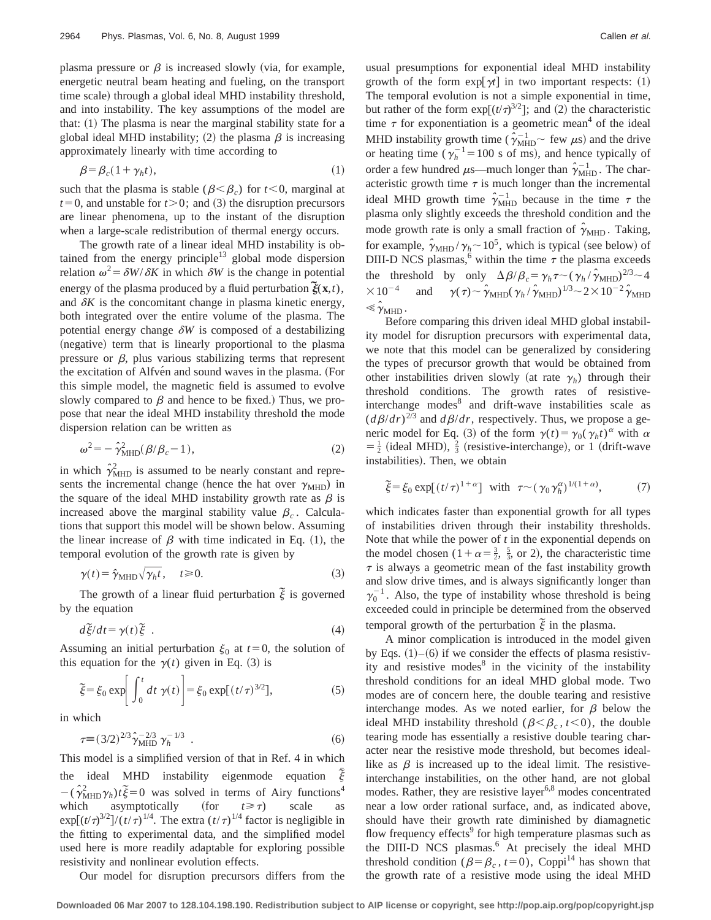plasma pressure or  $\beta$  is increased slowly (via, for example, energetic neutral beam heating and fueling, on the transport time scale) through a global ideal MHD instability threshold, and into instability. The key assumptions of the model are that:  $(1)$  The plasma is near the marginal stability state for a global ideal MHD instability; (2) the plasma  $\beta$  is increasing approximately linearly with time according to

$$
\beta = \beta_c (1 + \gamma_h t),\tag{1}
$$

such that the plasma is stable ( $\beta < \beta_c$ ) for  $t < 0$ , marginal at  $t=0$ , and unstable for  $t>0$ ; and (3) the disruption precursors are linear phenomena, up to the instant of the disruption when a large-scale redistribution of thermal energy occurs.

The growth rate of a linear ideal MHD instability is obtained from the energy principle $13$  global mode dispersion relation  $\omega^2 = \delta W/\delta K$  in which  $\delta W$  is the change in potential energy of the plasma produced by a fluid perturbation  $\tilde{\xi}(\mathbf{x},t)$ , and  $\delta K$  is the concomitant change in plasma kinetic energy, both integrated over the entire volume of the plasma. The potential energy change  $\delta W$  is composed of a destabilizing (negative) term that is linearly proportional to the plasma pressure or  $\beta$ , plus various stabilizing terms that represent the excitation of Alfven and sound waves in the plasma. (For this simple model, the magnetic field is assumed to evolve slowly compared to  $\beta$  and hence to be fixed.) Thus, we propose that near the ideal MHD instability threshold the mode dispersion relation can be written as

$$
\omega^2 = -\hat{\gamma}_{\text{MHD}}^2(\beta/\beta_c - 1),\tag{2}
$$

in which  $\hat{\gamma}_{\text{MHD}}^2$  is assumed to be nearly constant and represents the incremental change (hence the hat over  $\gamma_{\text{MHD}}$ ) in the square of the ideal MHD instability growth rate as  $\beta$  is increased above the marginal stability value  $\beta_c$ . Calculations that support this model will be shown below. Assuming the linear increase of  $\beta$  with time indicated in Eq. (1), the temporal evolution of the growth rate is given by

$$
\gamma(t) = \hat{\gamma}_{\text{MHD}} \sqrt{\gamma_h t}, \quad t \ge 0. \tag{3}
$$

The growth of a linear fluid perturbation  $\tilde{\xi}$  is governed by the equation

$$
d\tilde{\xi}/dt = \gamma(t)\tilde{\xi} \quad . \tag{4}
$$

Assuming an initial perturbation  $\xi_0$  at  $t=0$ , the solution of this equation for the  $\gamma(t)$  given in Eq. (3) is

$$
\tilde{\xi} = \xi_0 \exp\left[\int_0^t dt \ \gamma(t)\right] = \xi_0 \exp[(t/\tau)^{3/2}],\tag{5}
$$

in which

$$
\tau \equiv (3/2)^{2/3} \hat{\gamma}_{\text{MHD}}^{-2/3} \gamma_h^{-1/3} \tag{6}
$$

This model is a simplified version of that in Ref. 4 in which the ideal MHD instability eigenmode equation  $\widetilde{\xi}$ *¨*  $-(\hat{\gamma}_{\text{MHD}}^2 \gamma_h) t\tilde{\xi} = 0$  was solved in terms of Airy functions<sup>4</sup> which asymptotically (for  $t \ge \tau$ ) scale as  $\exp[(t/\tau)^{3/2}]/(t/\tau)^{1/4}$ . The extra  $(t/\tau)^{1/4}$  factor is negligible in the fitting to experimental data, and the simplified model used here is more readily adaptable for exploring possible resistivity and nonlinear evolution effects.

Our model for disruption precursors differs from the

usual presumptions for exponential ideal MHD instability growth of the form  $\exp[\gamma t]$  in two important respects: (1) The temporal evolution is not a simple exponential in time, but rather of the form  $exp[(t/\tau)^{3/2}]$ ; and (2) the characteristic time  $\tau$  for exponentiation is a geometric mean<sup>4</sup> of the ideal MHD instability growth time ( $\hat{\gamma}_{\text{MHD}}^{-1}$   $\sim$  few  $\mu$ s) and the drive or heating time ( $\gamma_h^{-1}$ =100 s of ms), and hence typically of order a few hundred  $\mu$ s—much longer than  $\hat{\gamma}_{\text{MHD}}^{-1}$ . The characteristic growth time  $\tau$  is much longer than the incremental ideal MHD growth time  $\hat{\gamma}_{\text{MHD}}^{-1}$  because in the time  $\tau$  the plasma only slightly exceeds the threshold condition and the mode growth rate is only a small fraction of  $\hat{\gamma}_{\text{MHD}}$ . Taking, for example,  $\hat{\gamma}_{\text{MHD}}/\gamma_h \sim 10^5$ , which is typical (see below) of DIII-D NCS plasmas,<sup>6</sup> within the time  $\tau$  the plasma exceeds the threshold by only  $\Delta \beta / \beta_c = \gamma_h \tau \sim (\gamma_h / \hat{\gamma}_{\text{MHD}})^{2/3} \sim 4$  $\times 10^{-4}$  and  $\gamma(\tau) \sim \hat{\gamma}_{\text{MHD}} (\gamma_h / \hat{\gamma}_{\text{MHD}})^{1/3} \sim 2 \times 10^{-2} \hat{\gamma}_{\text{MHD}}$  $\ll \hat{\gamma}_{\mathrm{MHD}}$  .

Before comparing this driven ideal MHD global instability model for disruption precursors with experimental data, we note that this model can be generalized by considering the types of precursor growth that would be obtained from other instabilities driven slowly (at rate  $\gamma_h$ ) through their threshold conditions. The growth rates of resistiveinterchange modes<sup>8</sup> and drift-wave instabilities scale as  $(d\beta/dr)^{2/3}$  and  $d\beta/dr$ , respectively. Thus, we propose a generic model for Eq. (3) of the form  $\gamma(t) = \gamma_0(\gamma_h t)^{\alpha}$  with  $\alpha$  $=\frac{1}{2}$  (ideal MHD),  $\frac{2}{3}$  (resistive-interchange), or 1 (drift-wave instabilities). Then, we obtain

$$
\tilde{\xi} = \xi_0 \exp[(t/\tau)^{1+\alpha}] \quad \text{with} \quad \tau \sim (\gamma_0 \gamma_h^{\alpha})^{1/(1+\alpha)}, \tag{7}
$$

which indicates faster than exponential growth for all types of instabilities driven through their instability thresholds. Note that while the power of *t* in the exponential depends on the model chosen  $(1 + \alpha = \frac{3}{2}, \frac{5}{3}, \text{ or } 2)$ , the characteristic time  $\tau$  is always a geometric mean of the fast instability growth and slow drive times, and is always significantly longer than  $\gamma_0^{-1}$ . Also, the type of instability whose threshold is being exceeded could in principle be determined from the observed temporal growth of the perturbation  $\tilde{\xi}$  in the plasma.

A minor complication is introduced in the model given by Eqs.  $(1)$ – $(6)$  if we consider the effects of plasma resistivity and resistive modes<sup>8</sup> in the vicinity of the instability threshold conditions for an ideal MHD global mode. Two modes are of concern here, the double tearing and resistive interchange modes. As we noted earlier, for  $\beta$  below the ideal MHD instability threshold ( $\beta < \beta_c$ ,  $t < 0$ ), the double tearing mode has essentially a resistive double tearing character near the resistive mode threshold, but becomes ideallike as  $\beta$  is increased up to the ideal limit. The resistiveinterchange instabilities, on the other hand, are not global modes. Rather, they are resistive layer $6.8$  modes concentrated near a low order rational surface, and, as indicated above, should have their growth rate diminished by diamagnetic flow frequency effects<sup>9</sup> for high temperature plasmas such as the DIII-D NCS plasmas.<sup>6</sup> At precisely the ideal MHD threshold condition ( $\beta = \beta_c$ ,  $t=0$ ), Coppi<sup>14</sup> has shown that the growth rate of a resistive mode using the ideal MHD

**Downloaded 06 Mar 2007 to 128.104.198.190. Redistribution subject to AIP license or copyright, see http://pop.aip.org/pop/copyright.jsp**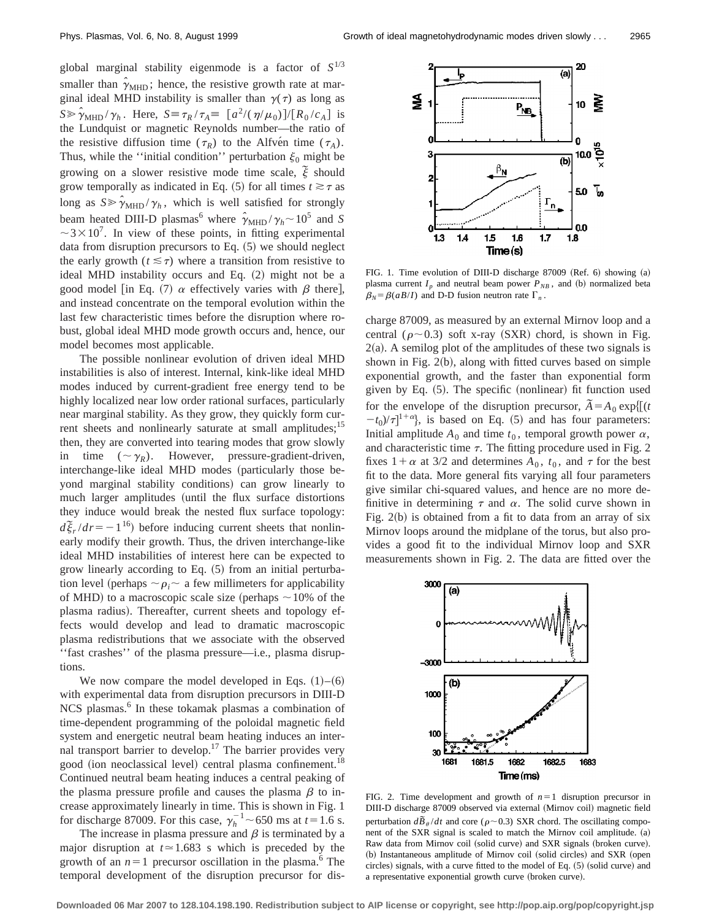global marginal stability eigenmode is a factor of  $S^{1/3}$ smaller than  $\hat{\gamma}_{\text{MHD}}$ ; hence, the resistive growth rate at marginal ideal MHD instability is smaller than  $\gamma(\tau)$  as long as  $S \gg \hat{\gamma}_{\text{MHD}} / \gamma_h$ . Here,  $S = \tau_R / \tau_A = [a^2 / (\eta / \mu_0)] / [R_0 / c_A]$  is the Lundquist or magnetic Reynolds number—the ratio of the resistive diffusion time ( $\tau_R$ ) to the Alfve<sup>n</sup> time ( $\tau_A$ ). Thus, while the "initial condition" perturbation  $\xi_0$  might be growing on a slower resistive mode time scale,  $\tilde{\xi}$  should grow temporally as indicated in Eq. (5) for all times  $t \geq \tau$  as long as  $S \gg \hat{\gamma}_{\text{MHD}} / \gamma_h$ , which is well satisfied for strongly beam heated DIII-D plasmas<sup>6</sup> where  $\hat{\gamma}_{\text{MHD}}/\gamma_h \sim 10^5$  and *S*  $\sim$ 3×10<sup>7</sup>. In view of these points, in fitting experimental data from disruption precursors to Eq.  $(5)$  we should neglect the early growth ( $t \leq \tau$ ) where a transition from resistive to ideal MHD instability occurs and Eq.  $(2)$  might not be a good model [in Eq. (7)  $\alpha$  effectively varies with  $\beta$  there], and instead concentrate on the temporal evolution within the last few characteristic times before the disruption where robust, global ideal MHD mode growth occurs and, hence, our model becomes most applicable.

The possible nonlinear evolution of driven ideal MHD instabilities is also of interest. Internal, kink-like ideal MHD modes induced by current-gradient free energy tend to be highly localized near low order rational surfaces, particularly near marginal stability. As they grow, they quickly form current sheets and nonlinearly saturate at small amplitudes;<sup>15</sup> then, they are converted into tearing modes that grow slowly in time  $({\sim} \gamma_R)$ . However, pressure-gradient-driven, interchange-like ideal MHD modes (particularly those beyond marginal stability conditions) can grow linearly to much larger amplitudes (until the flux surface distortions they induce would break the nested flux surface topology:  $d\tilde{\xi}_r/dr = -1^{16}$ ) before inducing current sheets that nonlinearly modify their growth. Thus, the driven interchange-like ideal MHD instabilities of interest here can be expected to grow linearly according to Eq.  $(5)$  from an initial perturbation level (perhaps  $~\sim \rho_i \sim$  a few millimeters for applicability of MHD) to a macroscopic scale size (perhaps  $\sim$  10% of the plasma radius). Thereafter, current sheets and topology effects would develop and lead to dramatic macroscopic plasma redistributions that we associate with the observed ''fast crashes'' of the plasma pressure—i.e., plasma disruptions.

We now compare the model developed in Eqs.  $(1)$ – $(6)$ with experimental data from disruption precursors in DIII-D NCS plasmas.<sup>6</sup> In these tokamak plasmas a combination of time-dependent programming of the poloidal magnetic field system and energetic neutral beam heating induces an internal transport barrier to develop.<sup>17</sup> The barrier provides very good (ion neoclassical level) central plasma confinement.<sup>18</sup> Continued neutral beam heating induces a central peaking of the plasma pressure profile and causes the plasma  $\beta$  to increase approximately linearly in time. This is shown in Fig. 1 for discharge 87009. For this case,  $\gamma_h^{-1}$  ~ 650 ms at *t* = 1.6 s.

The increase in plasma pressure and  $\beta$  is terminated by a major disruption at  $t \approx 1.683$  s which is preceded by the growth of an  $n=1$  precursor oscillation in the plasma.<sup>6</sup> The temporal development of the disruption precursor for dis-



FIG. 1. Time evolution of DIII-D discharge 87009 (Ref. 6) showing (a) plasma current  $I_p$  and neutral beam power  $P_{NB}$ , and (b) normalized beta  $\beta_N = \beta(aB/I)$  and D-D fusion neutron rate  $\Gamma_n$ .

charge 87009, as measured by an external Mirnov loop and a central ( $\rho \sim 0.3$ ) soft x-ray (SXR) chord, is shown in Fig.  $2(a)$ . A semilog plot of the amplitudes of these two signals is shown in Fig.  $2(b)$ , along with fitted curves based on simple exponential growth, and the faster than exponential form given by Eq.  $(5)$ . The specific (nonlinear) fit function used for the envelope of the disruption precursor,  $\tilde{A} = A_0 \exp{\left[(t_0 + t_1)^2 + \cdots + t_n\right]}$  $-t_0$ / $\tau$ ]<sup>1+ $\alpha$ </sup>}, is based on Eq. (5) and has four parameters: Initial amplitude  $A_0$  and time  $t_0$ , temporal growth power  $\alpha$ , and characteristic time  $\tau$ . The fitting procedure used in Fig. 2 fixes  $1+\alpha$  at 3/2 and determines  $A_0$ ,  $t_0$ , and  $\tau$  for the best fit to the data. More general fits varying all four parameters give similar chi-squared values, and hence are no more definitive in determining  $\tau$  and  $\alpha$ . The solid curve shown in Fig.  $2(b)$  is obtained from a fit to data from an array of six Mirnov loops around the midplane of the torus, but also provides a good fit to the individual Mirnov loop and SXR measurements shown in Fig. 2. The data are fitted over the



FIG. 2. Time development and growth of  $n=1$  disruption precursor in DIII-D discharge 87009 observed via external (Mirnov coil) magnetic field perturbation  $d\tilde{B}_{\theta}/dt$  and core ( $\rho \sim 0.3$ ) SXR chord. The oscillating component of the SXR signal is scaled to match the Mirnov coil amplitude.  $(a)$ Raw data from Mirnov coil (solid curve) and SXR signals (broken curve). (b) Instantaneous amplitude of Mirnov coil (solid circles) and SXR (open circles) signals, with a curve fitted to the model of Eq.  $(5)$  (solid curve) and a representative exponential growth curve (broken curve).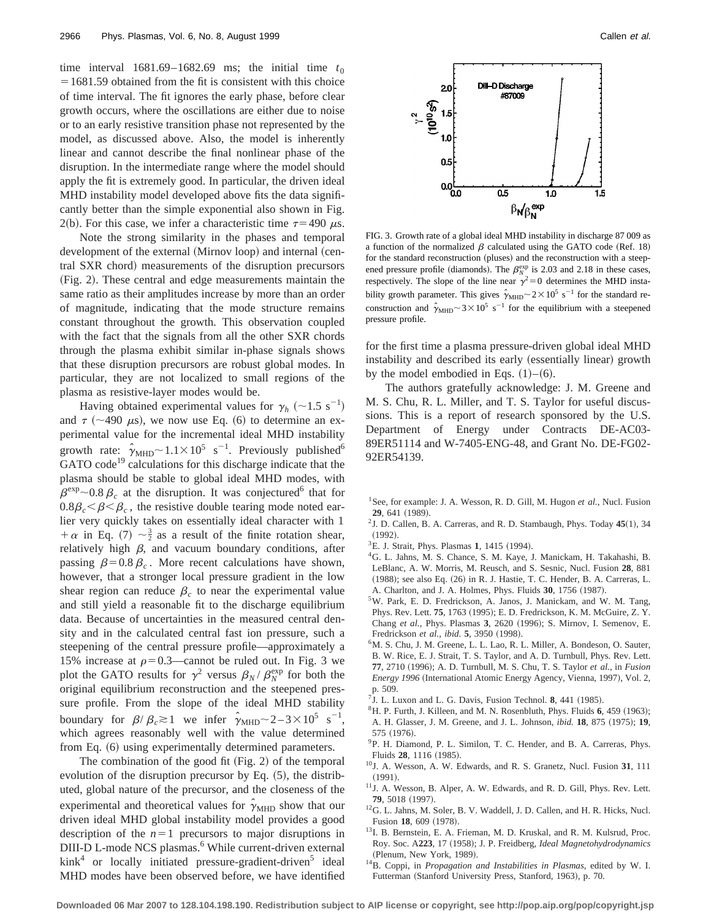time interval  $1681.69 - 1682.69$  ms; the initial time  $t_0$  $=1681.59$  obtained from the fit is consistent with this choice of time interval. The fit ignores the early phase, before clear growth occurs, where the oscillations are either due to noise or to an early resistive transition phase not represented by the model, as discussed above. Also, the model is inherently linear and cannot describe the final nonlinear phase of the disruption. In the intermediate range where the model should apply the fit is extremely good. In particular, the driven ideal MHD instability model developed above fits the data significantly better than the simple exponential also shown in Fig. 2(b). For this case, we infer a characteristic time  $\tau$ =490  $\mu$ s.

Note the strong similarity in the phases and temporal development of the external (Mirnov loop) and internal (central SXR chord) measurements of the disruption precursors (Fig. 2). These central and edge measurements maintain the same ratio as their amplitudes increase by more than an order of magnitude, indicating that the mode structure remains constant throughout the growth. This observation coupled with the fact that the signals from all the other SXR chords through the plasma exhibit similar in-phase signals shows that these disruption precursors are robust global modes. In particular, they are not localized to small regions of the plasma as resistive-layer modes would be.

Having obtained experimental values for  $\gamma_h$  ( $\sim$ 1.5 s<sup>-1</sup>) and  $\tau$  (~490  $\mu$ s), we now use Eq. (6) to determine an experimental value for the incremental ideal MHD instability growth rate:  $\hat{\gamma}_{\text{MHD}}$  ~  $1.1 \times 10^5$  s<sup>-1</sup>. Previously published<sup>6</sup> GATO code<sup>19</sup> calculations for this discharge indicate that the plasma should be stable to global ideal MHD modes, with  $\beta^{\exp}$ ~0.8  $\beta_c$  at the disruption. It was conjectured<sup>6</sup> that for  $0.8\beta_c < \beta < \beta_c$ , the resistive double tearing mode noted earlier very quickly takes on essentially ideal character with 1 +  $\alpha$  in Eq. (7)  $\sim \frac{3}{2}$  as a result of the finite rotation shear, relatively high  $\beta$ , and vacuum boundary conditions, after passing  $\beta$ =0.8  $\beta_c$ . More recent calculations have shown, however, that a stronger local pressure gradient in the low shear region can reduce  $\beta_c$  to near the experimental value and still yield a reasonable fit to the discharge equilibrium data. Because of uncertainties in the measured central density and in the calculated central fast ion pressure, such a steepening of the central pressure profile—approximately a 15% increase at  $\rho=0.3$ —cannot be ruled out. In Fig. 3 we plot the GATO results for  $\gamma^2$  versus  $\beta_N / \beta_N^{\text{exp}}$  for both the original equilibrium reconstruction and the steepened pressure profile. From the slope of the ideal MHD stability boundary for  $\beta/\beta_c \ge 1$  we infer  $\hat{\gamma}_{\text{MHD}} \sim 2-3 \times 10^5 \text{ s}^{-1}$ , which agrees reasonably well with the value determined from Eq.  $(6)$  using experimentally determined parameters.

The combination of the good fit  $(Fig. 2)$  of the temporal evolution of the disruption precursor by Eq.  $(5)$ , the distributed, global nature of the precursor, and the closeness of the experimental and theoretical values for  $\hat{\gamma}_{\text{MHD}}$  show that our driven ideal MHD global instability model provides a good description of the  $n=1$  precursors to major disruptions in DIII-D L-mode NCS plasmas.<sup>6</sup> While current-driven external  $kink<sup>4</sup>$  or locally initiated pressure-gradient-driven<sup>5</sup> ideal MHD modes have been observed before, we have identified



FIG. 3. Growth rate of a global ideal MHD instability in discharge 87 009 as a function of the normalized  $\beta$  calculated using the GATO code (Ref. 18) for the standard reconstruction (pluses) and the reconstruction with a steepened pressure profile (diamonds). The  $\beta_N^{\text{exp}}$  is 2.03 and 2.18 in these cases, respectively. The slope of the line near  $\gamma^2=0$  determines the MHD instability growth parameter. This gives  $\hat{\gamma}_{\text{MHD}}$   $\sim$  2  $\times$  10<sup>5</sup> s<sup>-1</sup> for the standard reconstruction and  $\hat{\gamma}_{\text{MHD}}$  ~ 3 × 10<sup>5</sup> s<sup>-1</sup> for the equilibrium with a steepened pressure profile.

for the first time a plasma pressure-driven global ideal MHD instability and described its early (essentially linear) growth by the model embodied in Eqs.  $(1)$ – $(6)$ .

The authors gratefully acknowledge: J. M. Greene and M. S. Chu, R. L. Miller, and T. S. Taylor for useful discussions. This is a report of research sponsored by the U.S. Department of Energy under Contracts DE-AC03- 89ER51114 and W-7405-ENG-48, and Grant No. DE-FG02- 92ER54139.

- <sup>1</sup>See, for example: J. A. Wesson, R. D. Gill, M. Hugon *et al.*, Nucl. Fusion **29**, 641 (1989).
- <sup>2</sup> J. D. Callen, B. A. Carreras, and R. D. Stambaugh, Phys. Today  $45(1)$ , 34  $(1992).$
- ${}^{3}E$ . J. Strait, Phys. Plasmas 1, 1415 (1994).
- 4G. L. Jahns, M. S. Chance, S. M. Kaye, J. Manickam, H. Takahashi, B. LeBlanc, A. W. Morris, M. Reusch, and S. Sesnic, Nucl. Fusion **28**, 881 (1988); see also Eq. (26) in R. J. Hastie, T. C. Hender, B. A. Carreras, L. A. Charlton, and J. A. Holmes, Phys. Fluids **30**, 1756 (1987).
- <sup>5</sup>W. Park, E. D. Fredrickson, A. Janos, J. Manickam, and W. M. Tang, Phys. Rev. Lett. **75**, 1763 (1995); E. D. Fredrickson, K. M. McGuire, Z. Y. Chang et al., Phys. Plasmas 3, 2620 (1996); S. Mirnov, I. Semenov, E. Fredrickson et al., *ibid.* 5, 3950 (1998).
- 6M. S. Chu, J. M. Greene, L. L. Lao, R. L. Miller, A. Bondeson, O. Sauter, B. W. Rice, E. J. Strait, T. S. Taylor, and A. D. Turnbull, Phys. Rev. Lett. **77**, 2710 (1996); A. D. Turnbull, M. S. Chu, T. S. Taylor *et al.*, in *Fusion Energy 1996* (International Atomic Energy Agency, Vienna, 1997), Vol. 2, p. 509.
- $7$ J. L. Luxon and L. G. Davis, Fusion Technol. 8, 441 (1985).
- ${}^{8}$ H. P. Furth, J. Killeen, and M. N. Rosenbluth, Phys. Fluids 6, 459 (1963); A. H. Glasser, J. M. Greene, and J. L. Johnson, *ibid.* **18**, 875 (1975); **19**, 575 (1976).
- <sup>9</sup>P. H. Diamond, P. L. Similon, T. C. Hender, and B. A. Carreras, Phys. Fluids 28, 1116 (1985).
- 10J. A. Wesson, A. W. Edwards, and R. S. Granetz, Nucl. Fusion **31**, 111  $(1991).$
- <sup>11</sup>J. A. Wesson, B. Alper, A. W. Edwards, and R. D. Gill, Phys. Rev. Lett. 79, 5018 (1997).
- 12G. L. Jahns, M. Soler, B. V. Waddell, J. D. Callen, and H. R. Hicks, Nucl. Fusion 18, 609 (1978).
- <sup>13</sup>I. B. Bernstein, E. A. Frieman, M. D. Kruskal, and R. M. Kulsrud, Proc. Roy. Soc. A223, 17 (1958); J. P. Freidberg, *Ideal Magnetohydrodynamics* (Plenum, New York, 1989).
- 14B. Coppi, in *Propagation and Instabilities in Plasmas*, edited by W. I. Futterman (Stanford University Press, Stanford, 1963), p. 70.